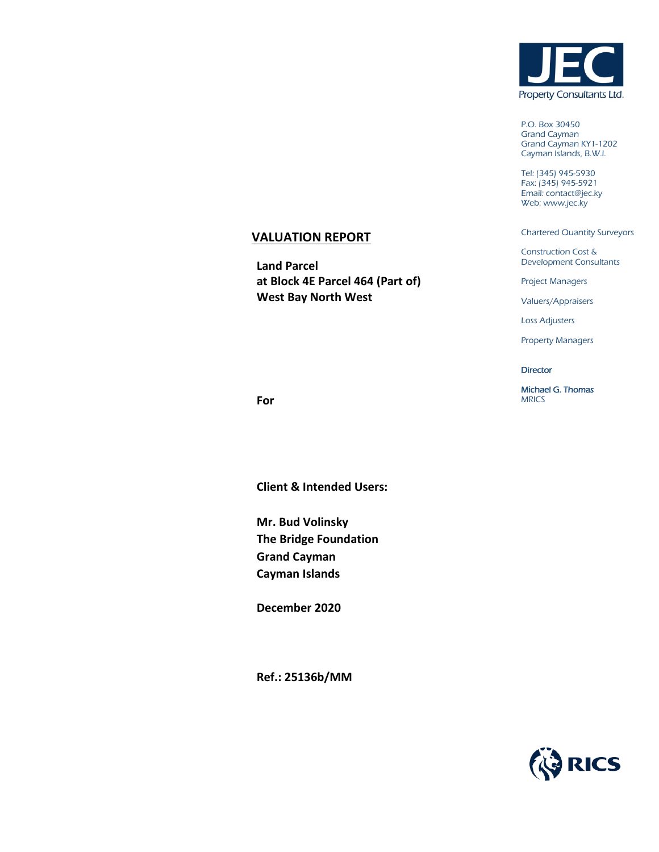

P.O. Box 30450 Grand Cayman Grand Cayman KY1-1202 Cayman Islands, B.W.I.

Tel: (345) 945-5930 Fax: (345) 945-5921 Email: contact@jec.ky Web: www.jec.ky

Chartered Quantity Surveyors

Construction Cost & Development Consultants

Project Managers

Valuers/Appraisers

Loss Adjusters

Property Managers

**Director** 

Michael G. Thomas MRICS

**For**

**Client & Intended Users:**

**VALUATION REPORT**

**West Bay North West**

**at Block 4E Parcel 464 (Part of)**

**Land Parcel** 

**Mr. Bud Volinsky The Bridge Foundation Grand Cayman Cayman Islands**

**December 2020**

**Ref.: 25136b/MM**

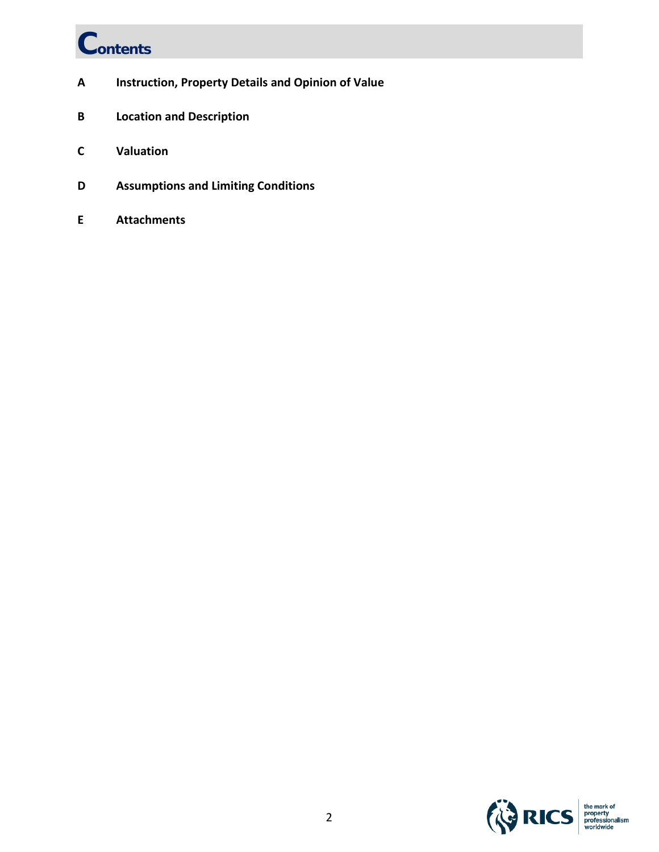# **Contents**

- **A Instruction, Property Details and Opinion of Value**
- **B Location and Description**
- **C Valuation**
- **D Assumptions and Limiting Conditions**
- **E Attachments**

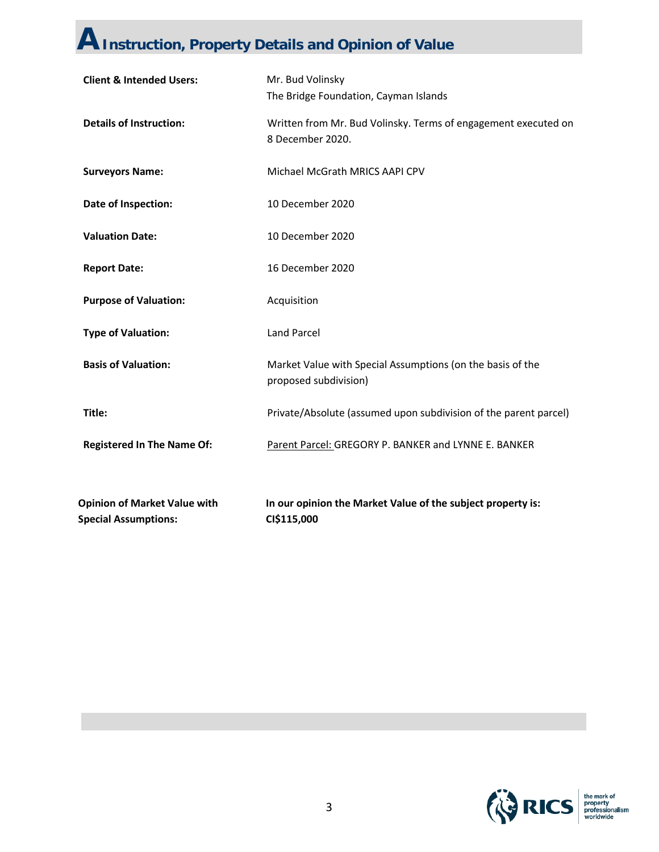### **AInstruction, Property Details and Opinion of Value**

| <b>Opinion of Market Value with</b><br><b>Special Assumptions:</b> | In our opinion the Market Value of the subject property is:<br>CI\$115,000          |  |
|--------------------------------------------------------------------|-------------------------------------------------------------------------------------|--|
| <b>Registered In The Name Of:</b>                                  | Parent Parcel: GREGORY P. BANKER and LYNNE E. BANKER                                |  |
| Title:                                                             | Private/Absolute (assumed upon subdivision of the parent parcel)                    |  |
| <b>Basis of Valuation:</b>                                         | Market Value with Special Assumptions (on the basis of the<br>proposed subdivision) |  |
| <b>Type of Valuation:</b>                                          | <b>Land Parcel</b>                                                                  |  |
| <b>Purpose of Valuation:</b>                                       | Acquisition                                                                         |  |
| <b>Report Date:</b>                                                | 16 December 2020                                                                    |  |
| <b>Valuation Date:</b>                                             | 10 December 2020                                                                    |  |
| Date of Inspection:                                                | 10 December 2020                                                                    |  |
| <b>Surveyors Name:</b>                                             | Michael McGrath MRICS AAPI CPV                                                      |  |
| <b>Details of Instruction:</b>                                     | Written from Mr. Bud Volinsky. Terms of engagement executed on<br>8 December 2020.  |  |
| <b>Client &amp; Intended Users:</b>                                | Mr. Bud Volinsky<br>The Bridge Foundation, Cayman Islands                           |  |

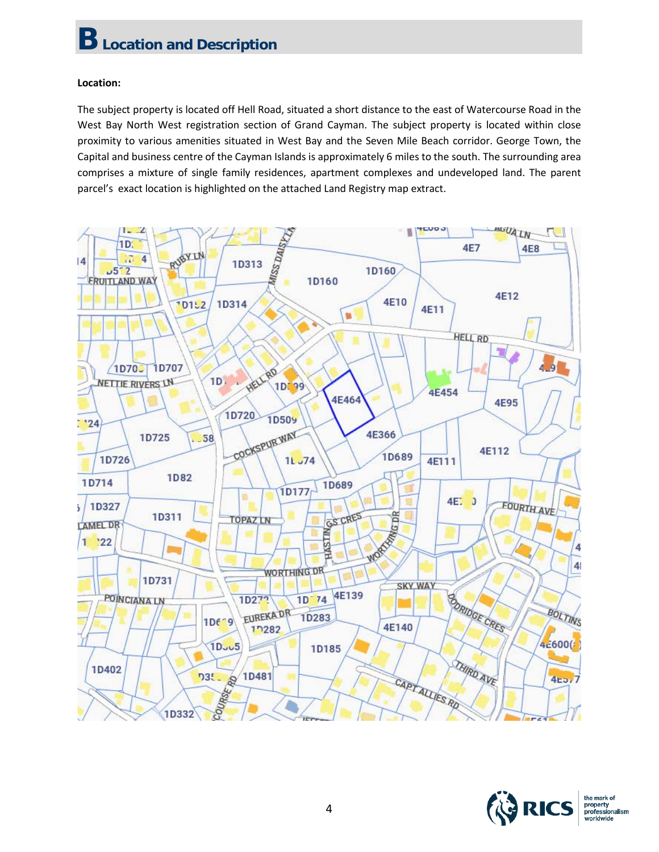### **Location:**

The subject property is located off Hell Road, situated a short distance to the east of Watercourse Road in the West Bay North West registration section of Grand Cayman. The subject property is located within close proximity to various amenities situated in West Bay and the Seven Mile Beach corridor. George Town, the Capital and business centre of the Cayman Islands is approximately 6 miles to the south. The surrounding area comprises a mixture of single family residences, apartment complexes and undeveloped land. The parent parcel's exact location is highlighted on the attached Land Registry map extract.



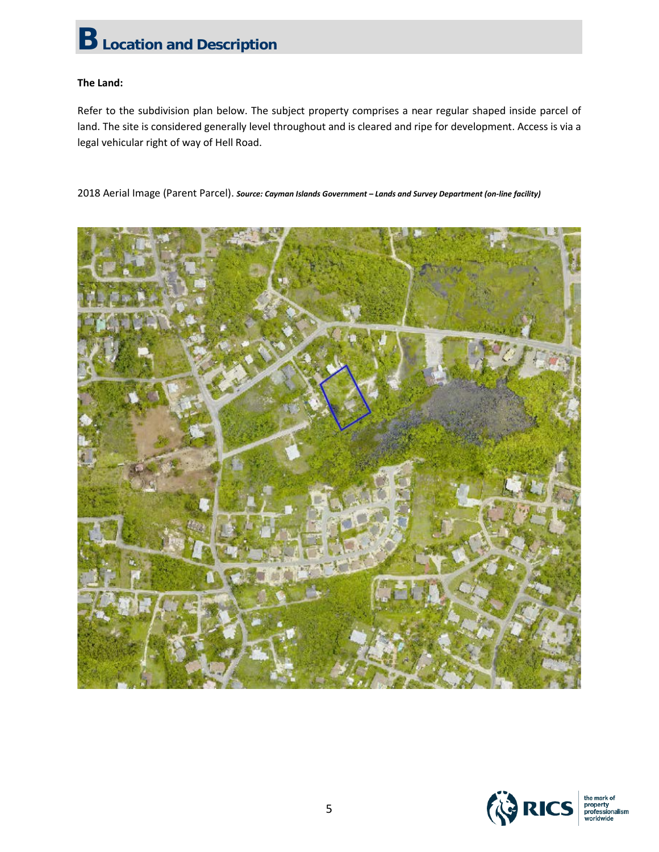### **The Land:**

Refer to the subdivision plan below. The subject property comprises a near regular shaped inside parcel of land. The site is considered generally level throughout and is cleared and ripe for development. Access is via a legal vehicular right of way of Hell Road.

2018 Aerial Image (Parent Parcel). *Source: Cayman Islands Government – Lands and Survey Department (on-line facility)*



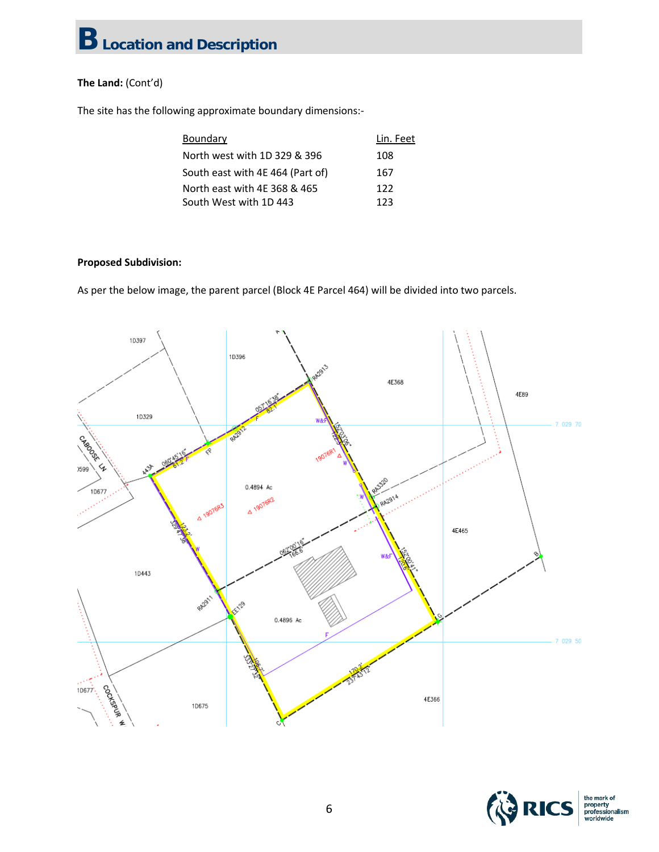### **The Land:** (Cont'd)

The site has the following approximate boundary dimensions:-

| Boundary                         | Lin. Feet |
|----------------------------------|-----------|
| North west with 1D 329 & 396     | 108       |
| South east with 4E 464 (Part of) | 167       |
| North east with 4E 368 & 465     | 122       |
| South West with 1D 443           | 123       |

### **Proposed Subdivision:**

As per the below image, the parent parcel (Block 4E Parcel 464) will be divided into two parcels.



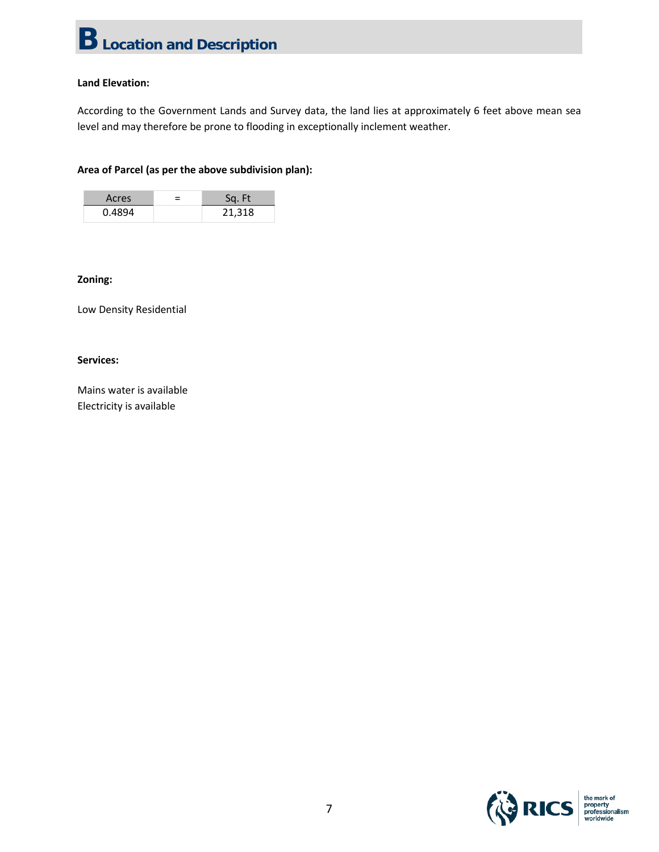### **Land Elevation:**

According to the Government Lands and Survey data, the land lies at approximately 6 feet above mean sea level and may therefore be prone to flooding in exceptionally inclement weather.

### **Area of Parcel (as per the above subdivision plan):**

| Acres  | Sq. Ft |
|--------|--------|
| 0.4894 | 21,318 |

#### **Zoning:**

Low Density Residential

#### **Services:**

Mains water is available Electricity is available

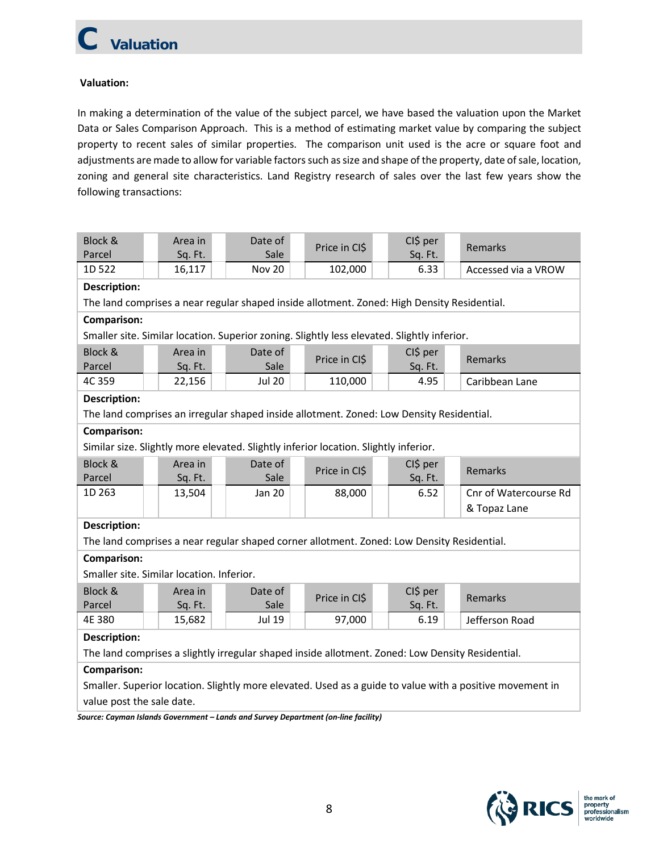### **Valuation:**

In making a determination of the value of the subject parcel, we have based the valuation upon the Market Data or Sales Comparison Approach. This is a method of estimating market value by comparing the subject property to recent sales of similar properties. The comparison unit used is the acre or square foot and adjustments are made to allow for variable factors such as size and shape of the property, date of sale, location, zoning and general site characteristics. Land Registry research of sales over the last few years show the following transactions:

| Block &<br>Parcel                                                                                        | Area in<br>Sq. Ft.                        | Date of<br>Sale                                                                             | Price in CI\$ |         | CI\$ per<br>Sq. Ft. | Remarks               |  |  |
|----------------------------------------------------------------------------------------------------------|-------------------------------------------|---------------------------------------------------------------------------------------------|---------------|---------|---------------------|-----------------------|--|--|
| 1D 522                                                                                                   | 16,117                                    | <b>Nov 20</b>                                                                               | 102,000       |         | 6.33                | Accessed via a VROW   |  |  |
| <b>Description:</b>                                                                                      |                                           |                                                                                             |               |         |                     |                       |  |  |
| The land comprises a near regular shaped inside allotment. Zoned: High Density Residential.              |                                           |                                                                                             |               |         |                     |                       |  |  |
| Comparison:                                                                                              |                                           |                                                                                             |               |         |                     |                       |  |  |
|                                                                                                          |                                           | Smaller site. Similar location. Superior zoning. Slightly less elevated. Slightly inferior. |               |         |                     |                       |  |  |
| Block &                                                                                                  | Area in                                   | Date of                                                                                     | Price in CI\$ |         | CI\$ per            | Remarks               |  |  |
| Parcel                                                                                                   | Sq. Ft.                                   | Sale                                                                                        |               |         | Sq. Ft.             |                       |  |  |
| 4C 359                                                                                                   | 22,156                                    | <b>Jul 20</b>                                                                               | 110,000       |         | 4.95                | Caribbean Lane        |  |  |
| <b>Description:</b>                                                                                      |                                           |                                                                                             |               |         |                     |                       |  |  |
|                                                                                                          |                                           | The land comprises an irregular shaped inside allotment. Zoned: Low Density Residential.    |               |         |                     |                       |  |  |
| Comparison:                                                                                              |                                           |                                                                                             |               |         |                     |                       |  |  |
|                                                                                                          |                                           | Similar size. Slightly more elevated. Slightly inferior location. Slightly inferior.        |               |         |                     |                       |  |  |
| Block &                                                                                                  | Area in                                   | Date of                                                                                     | Price in CI\$ |         | CI\$ per            | Remarks               |  |  |
| Parcel                                                                                                   | Sq. Ft.                                   | Sale                                                                                        |               |         | Sq. Ft.             |                       |  |  |
| 1D 263                                                                                                   | 13,504                                    | Jan 20                                                                                      | 88,000        |         | 6.52                | Cnr of Watercourse Rd |  |  |
|                                                                                                          |                                           |                                                                                             |               |         |                     | & Topaz Lane          |  |  |
| <b>Description:</b>                                                                                      |                                           |                                                                                             |               |         |                     |                       |  |  |
|                                                                                                          |                                           | The land comprises a near regular shaped corner allotment. Zoned: Low Density Residential.  |               |         |                     |                       |  |  |
| <b>Comparison:</b>                                                                                       |                                           |                                                                                             |               |         |                     |                       |  |  |
|                                                                                                          | Smaller site. Similar location. Inferior. |                                                                                             |               |         |                     |                       |  |  |
| Block &                                                                                                  | Area in                                   | Date of                                                                                     | Price in CI\$ |         | CI\$ per            | Remarks               |  |  |
| Parcel                                                                                                   | Sq. Ft.                                   | Sale                                                                                        |               | Sq. Ft. |                     |                       |  |  |
| 4E 380                                                                                                   | 15,682                                    | Jul 19                                                                                      | 97,000        |         | 6.19                | Jefferson Road        |  |  |
| <b>Description:</b>                                                                                      |                                           |                                                                                             |               |         |                     |                       |  |  |
| The land comprises a slightly irregular shaped inside allotment. Zoned: Low Density Residential.         |                                           |                                                                                             |               |         |                     |                       |  |  |
| Comparison:                                                                                              |                                           |                                                                                             |               |         |                     |                       |  |  |
| Smaller. Superior location. Slightly more elevated. Used as a guide to value with a positive movement in |                                           |                                                                                             |               |         |                     |                       |  |  |
| value post the sale date.                                                                                |                                           |                                                                                             |               |         |                     |                       |  |  |

*Source: Cayman Islands Government – Lands and Survey Department (on-line facility)*

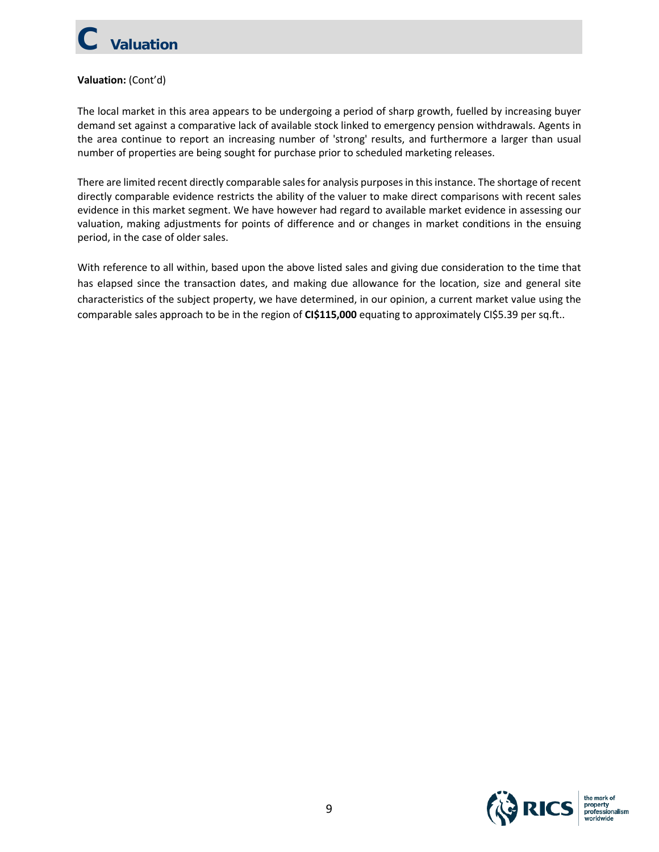# **Valuation**

### **Valuation:** (Cont'd)

The local market in this area appears to be undergoing a period of sharp growth, fuelled by increasing buyer demand set against a comparative lack of available stock linked to emergency pension withdrawals. Agents in the area continue to report an increasing number of 'strong' results, and furthermore a larger than usual number of properties are being sought for purchase prior to scheduled marketing releases.

There are limited recent directly comparable sales for analysis purposes in this instance. The shortage of recent directly comparable evidence restricts the ability of the valuer to make direct comparisons with recent sales evidence in this market segment. We have however had regard to available market evidence in assessing our valuation, making adjustments for points of difference and or changes in market conditions in the ensuing period, in the case of older sales.

With reference to all within, based upon the above listed sales and giving due consideration to the time that has elapsed since the transaction dates, and making due allowance for the location, size and general site characteristics of the subject property, we have determined, in our opinion, a current market value using the comparable sales approach to be in the region of **CI\$115,000** equating to approximately CI\$5.39 per sq.ft..

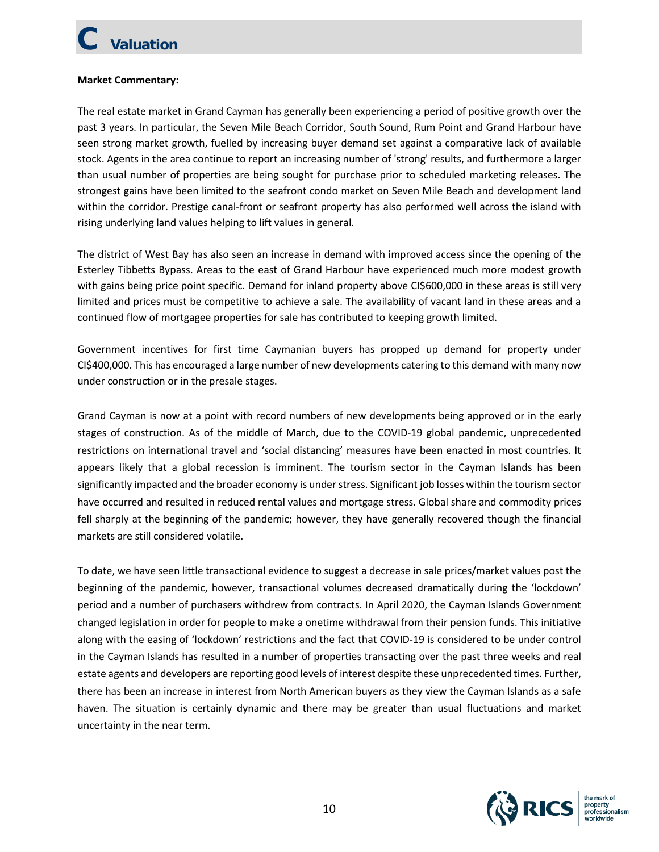# **C Valuation**

### **Market Commentary:**

The real estate market in Grand Cayman has generally been experiencing a period of positive growth over the past 3 years. In particular, the Seven Mile Beach Corridor, South Sound, Rum Point and Grand Harbour have seen strong market growth, fuelled by increasing buyer demand set against a comparative lack of available stock. Agents in the area continue to report an increasing number of 'strong' results, and furthermore a larger than usual number of properties are being sought for purchase prior to scheduled marketing releases. The strongest gains have been limited to the seafront condo market on Seven Mile Beach and development land within the corridor. Prestige canal-front or seafront property has also performed well across the island with rising underlying land values helping to lift values in general.

The district of West Bay has also seen an increase in demand with improved access since the opening of the Esterley Tibbetts Bypass. Areas to the east of Grand Harbour have experienced much more modest growth with gains being price point specific. Demand for inland property above CI\$600,000 in these areas is still very limited and prices must be competitive to achieve a sale. The availability of vacant land in these areas and a continued flow of mortgagee properties for sale has contributed to keeping growth limited.

Government incentives for first time Caymanian buyers has propped up demand for property under CI\$400,000. This has encouraged a large number of new developments catering to this demand with many now under construction or in the presale stages.

Grand Cayman is now at a point with record numbers of new developments being approved or in the early stages of construction. As of the middle of March, due to the COVID-19 global pandemic, unprecedented restrictions on international travel and 'social distancing' measures have been enacted in most countries. It appears likely that a global recession is imminent. The tourism sector in the Cayman Islands has been significantly impacted and the broader economy is under stress. Significant job losses within the tourism sector have occurred and resulted in reduced rental values and mortgage stress. Global share and commodity prices fell sharply at the beginning of the pandemic; however, they have generally recovered though the financial markets are still considered volatile.

To date, we have seen little transactional evidence to suggest a decrease in sale prices/market values post the beginning of the pandemic, however, transactional volumes decreased dramatically during the 'lockdown' period and a number of purchasers withdrew from contracts. In April 2020, the Cayman Islands Government changed legislation in order for people to make a onetime withdrawal from their pension funds. This initiative along with the easing of 'lockdown' restrictions and the fact that COVID-19 is considered to be under control in the Cayman Islands has resulted in a number of properties transacting over the past three weeks and real estate agents and developers are reporting good levels of interest despite these unprecedented times. Further, there has been an increase in interest from North American buyers as they view the Cayman Islands as a safe haven. The situation is certainly dynamic and there may be greater than usual fluctuations and market uncertainty in the near term.

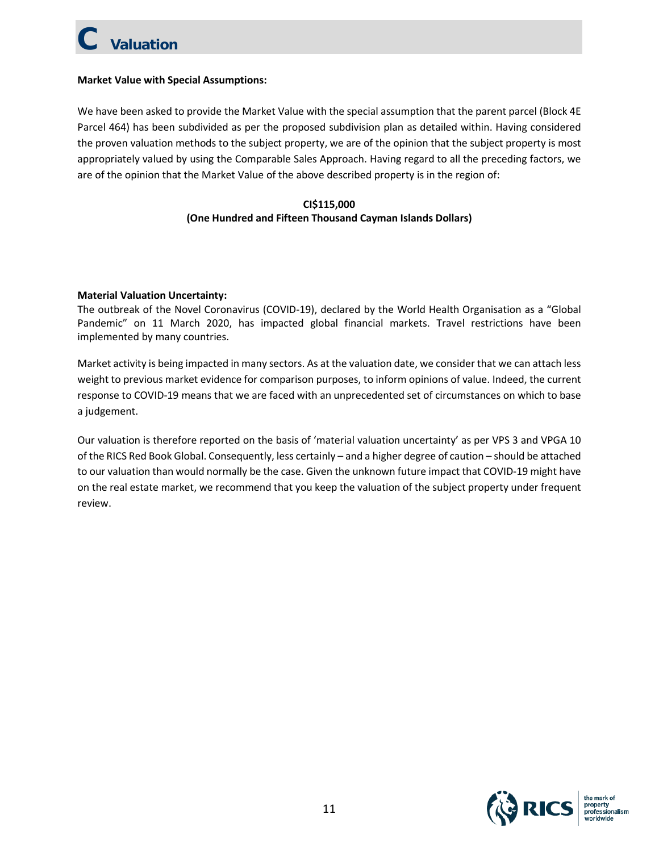# **C Valuation**

### **Market Value with Special Assumptions:**

We have been asked to provide the Market Value with the special assumption that the parent parcel (Block 4E Parcel 464) has been subdivided as per the proposed subdivision plan as detailed within. Having considered the proven valuation methods to the subject property, we are of the opinion that the subject property is most appropriately valued by using the Comparable Sales Approach. Having regard to all the preceding factors, we are of the opinion that the Market Value of the above described property is in the region of:

### **CI\$115,000 (One Hundred and Fifteen Thousand Cayman Islands Dollars)**

### **Material Valuation Uncertainty:**

The outbreak of the Novel Coronavirus (COVID-19), declared by the World Health Organisation as a "Global Pandemic" on 11 March 2020, has impacted global financial markets. Travel restrictions have been implemented by many countries.

Market activity is being impacted in many sectors. As at the valuation date, we consider that we can attach less weight to previous market evidence for comparison purposes, to inform opinions of value. Indeed, the current response to COVID-19 means that we are faced with an unprecedented set of circumstances on which to base a judgement.

Our valuation is therefore reported on the basis of 'material valuation uncertainty' as per VPS 3 and VPGA 10 of the RICS Red Book Global. Consequently, less certainly – and a higher degree of caution – should be attached to our valuation than would normally be the case. Given the unknown future impact that COVID-19 might have on the real estate market, we recommend that you keep the valuation of the subject property under frequent review.

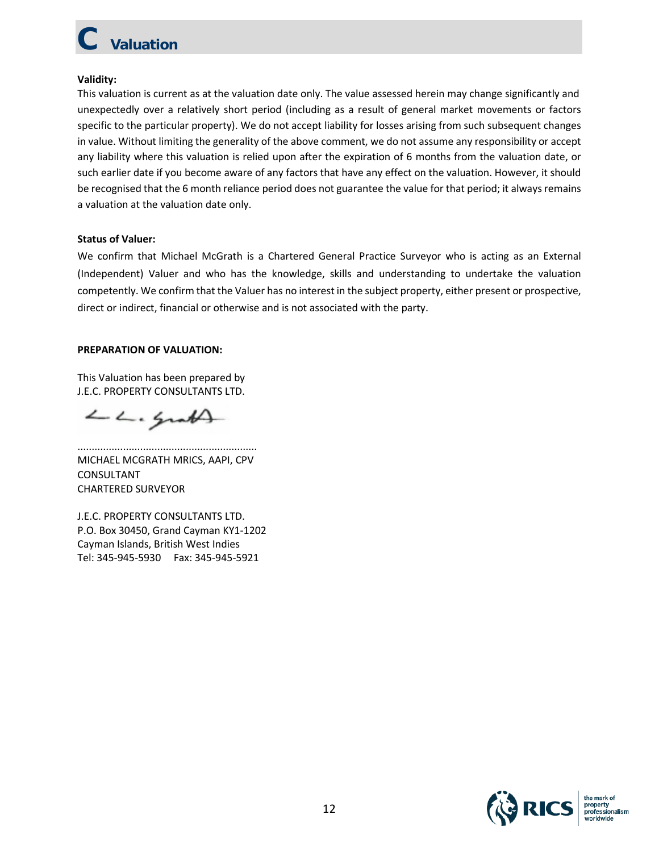# **Valuation**

### **Validity:**

This valuation is current as at the valuation date only. The value assessed herein may change significantly and unexpectedly over a relatively short period (including as a result of general market movements or factors specific to the particular property). We do not accept liability for losses arising from such subsequent changes in value. Without limiting the generality of the above comment, we do not assume any responsibility or accept any liability where this valuation is relied upon after the expiration of 6 months from the valuation date, or such earlier date if you become aware of any factors that have any effect on the valuation. However, it should be recognised that the 6 month reliance period does not guarantee the value for that period; it always remains a valuation at the valuation date only.

### **Status of Valuer:**

We confirm that Michael McGrath is a Chartered General Practice Surveyor who is acting as an External (Independent) Valuer and who has the knowledge, skills and understanding to undertake the valuation competently. We confirm that the Valuer has no interest in the subject property, either present or prospective, direct or indirect, financial or otherwise and is not associated with the party.

### **PREPARATION OF VALUATION:**

This Valuation has been prepared by J.E.C. PROPERTY CONSULTANTS LTD.

LL. Grath

............................................................... MICHAEL MCGRATH MRICS, AAPI, CPV CONSULTANT CHARTERED SURVEYOR

J.E.C. PROPERTY CONSULTANTS LTD. P.O. Box 30450, Grand Cayman KY1-1202 Cayman Islands, British West Indies Tel: 345-945-5930 Fax: 345-945-5921

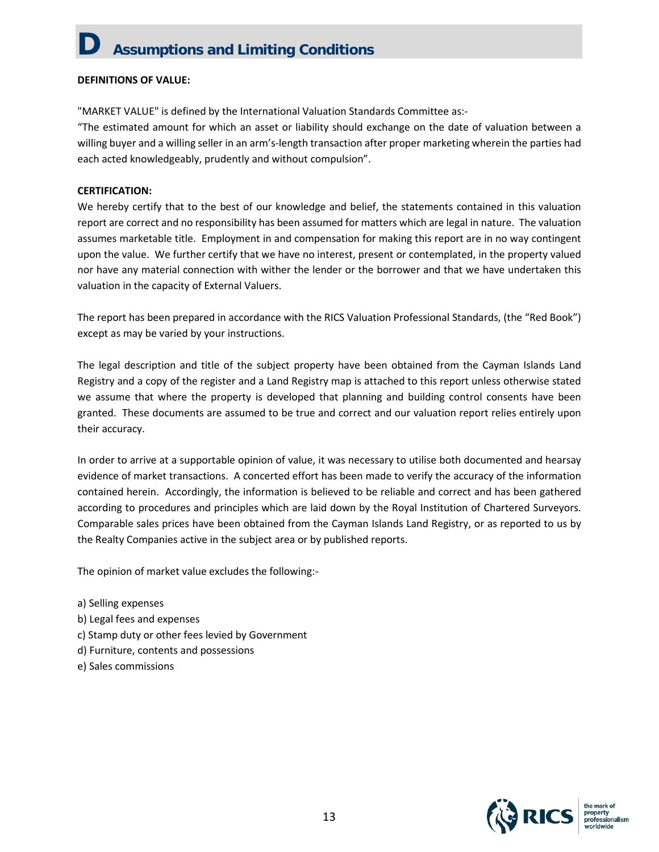### **D Assumptions and Limiting Conditions**

#### **DEFINITIONS OF VALUE:**

"MARKET VALUE" is defined by the International Valuation Standards Committee as:-

"The estimated amount for which an asset or liability should exchange on the date of valuation between a willing buyer and a willing seller in an arm's-length transaction after proper marketing wherein the parties had each acted knowledgeably, prudently and without compulsion".

#### **CERTIFICATION:**

We hereby certify that to the best of our knowledge and belief, the statements contained in this valuation report are correct and no responsibility has been assumed for matters which are legal in nature. The valuation assumes marketable title. Employment in and compensation for making this report are in no way contingent upon the value. We further certify that we have no interest, present or contemplated, in the property valued nor have any material connection with wither the lender or the borrower and that we have undertaken this valuation in the capacity of External Valuers.

The report has been prepared in accordance with the RICS Valuation Professional Standards, (the "Red Book") except as may be varied by your instructions.

The legal description and title of the subject property have been obtained from the Cayman Islands Land Registry and a copy of the register and a Land Registry map is attached to this report unless otherwise stated we assume that where the property is developed that planning and building control consents have been granted. These documents are assumed to be true and correct and our valuation report relies entirely upon their accuracy.

In order to arrive at a supportable opinion of value, it was necessary to utilise both documented and hearsay evidence of market transactions. A concerted effort has been made to verify the accuracy of the information contained herein. Accordingly, the information is believed to be reliable and correct and has been gathered according to procedures and principles which are laid down by the Royal Institution of Chartered Surveyors. Comparable sales prices have been obtained from the Cayman Islands Land Registry, or as reported to us by the Realty Companies active in the subject area or by published reports.

The opinion of market value excludes the following:-

- a) Selling expenses
- b) Legal fees and expenses
- c) Stamp duty or other fees levied by Government
- d) Furniture, contents and possessions
- e) Sales commissions

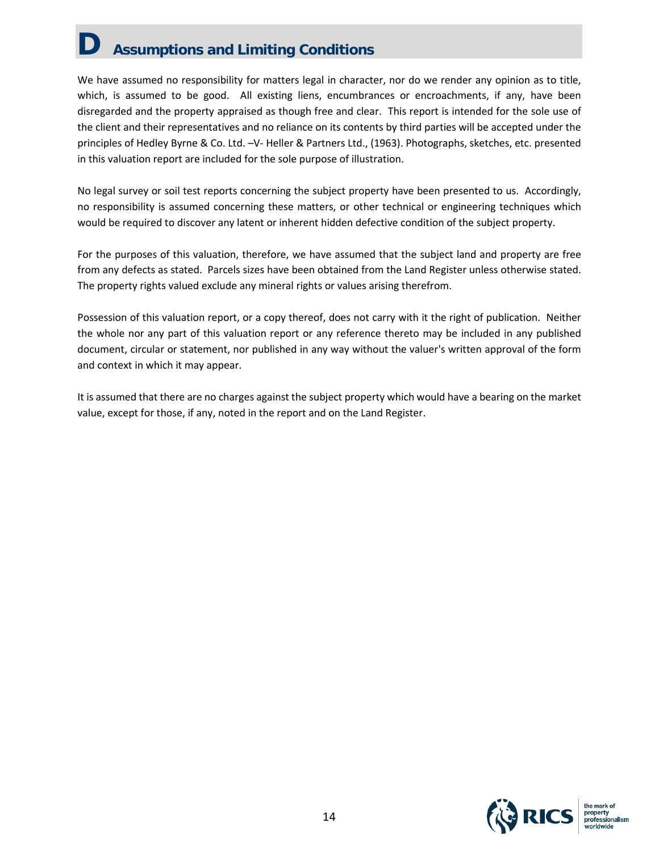### **D Assumptions and Limiting Conditions**

We have assumed no responsibility for matters legal in character, nor do we render any opinion as to title, which, is assumed to be good. All existing liens, encumbrances or encroachments, if any, have been disregarded and the property appraised as though free and clear. This report is intended for the sole use of the client and their representatives and no reliance on its contents by third parties will be accepted under the principles of Hedley Byrne & Co. Ltd. –V- Heller & Partners Ltd., (1963). Photographs, sketches, etc. presented in this valuation report are included for the sole purpose of illustration.

No legal survey or soil test reports concerning the subject property have been presented to us. Accordingly, no responsibility is assumed concerning these matters, or other technical or engineering techniques which would be required to discover any latent or inherent hidden defective condition of the subject property.

For the purposes of this valuation, therefore, we have assumed that the subject land and property are free from any defects as stated. Parcels sizes have been obtained from the Land Register unless otherwise stated. The property rights valued exclude any mineral rights or values arising therefrom.

Possession of this valuation report, or a copy thereof, does not carry with it the right of publication. Neither the whole nor any part of this valuation report or any reference thereto may be included in any published document, circular or statement, nor published in any way without the valuer's written approval of the form and context in which it may appear.

It is assumed that there are no charges against the subject property which would have a bearing on the market value, except for those, if any, noted in the report and on the Land Register.